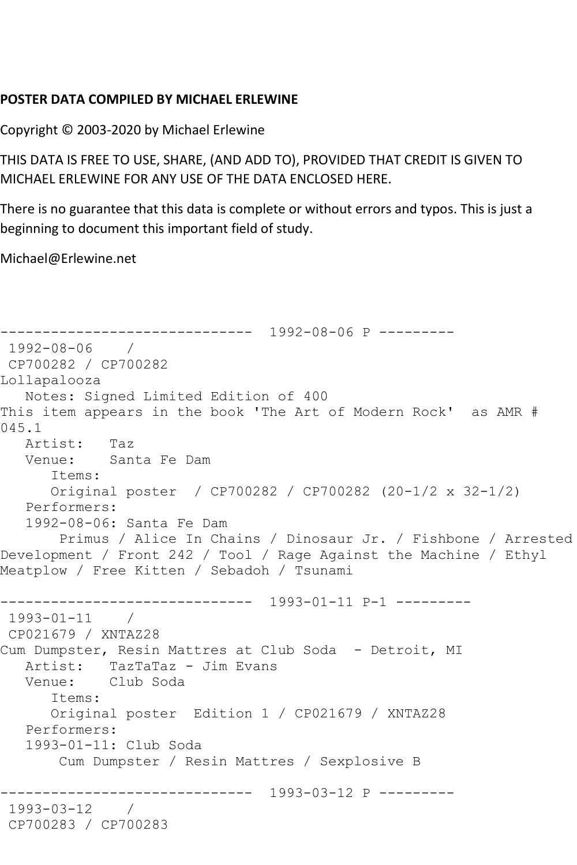## **POSTER DATA COMPILED BY MICHAEL ERLEWINE**

Copyright © 2003-2020 by Michael Erlewine

THIS DATA IS FREE TO USE, SHARE, (AND ADD TO), PROVIDED THAT CREDIT IS GIVEN TO MICHAEL ERLEWINE FOR ANY USE OF THE DATA ENCLOSED HERE.

There is no guarantee that this data is complete or without errors and typos. This is just a beginning to document this important field of study.

Michael@Erlewine.net

```
------------------------------ 1992-08-06 P ---------
1992-08-06 / 
CP700282 / CP700282
Lollapalooza
   Notes: Signed Limited Edition of 400
This item appears in the book 'The Art of Modern Rock' as AMR # 
045.1
   Artist: Taz
   Venue: Santa Fe Dam
      Items:
      Original poster / CP700282 / CP700282 (20-1/2 x 32-1/2)
   Performers:
   1992-08-06: Santa Fe Dam
       Primus / Alice In Chains / Dinosaur Jr. / Fishbone / Arrested 
Development / Front 242 / Tool / Rage Against the Machine / Ethyl 
Meatplow / Free Kitten / Sebadoh / Tsunami
------------------------------ 1993-01-11 P-1 ---------
1993-01-11 / 
CP021679 / XNTAZ28
Cum Dumpster, Resin Mattres at Club Soda - Detroit, MI
  Artist: TazTaTaz - Jim Evans<br>Venue: Club Soda
           Club Soda
       Items:
      Original poster Edition 1 / CP021679 / XNTAZ28
   Performers:
   1993-01-11: Club Soda
       Cum Dumpster / Resin Mattres / Sexplosive B
------------------------------ 1993-03-12 P ---------
1993-03-12 / 
CP700283 / CP700283
```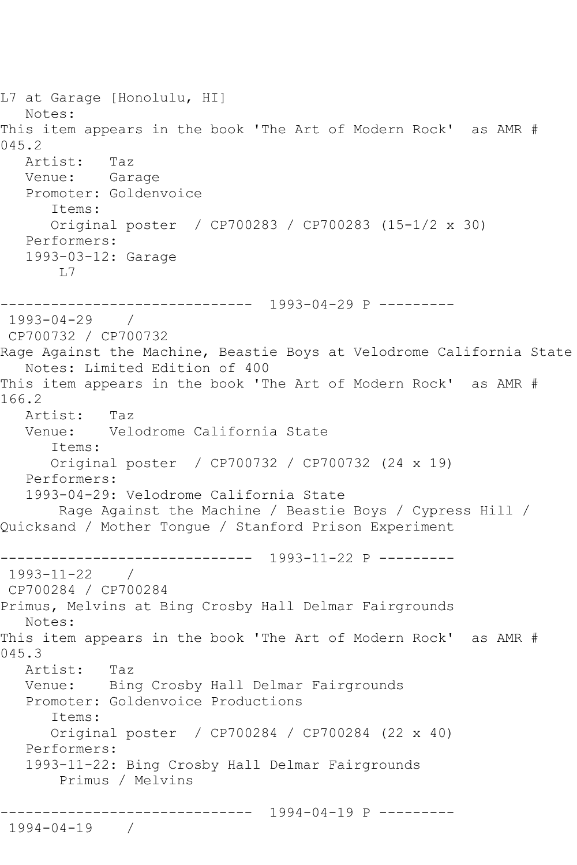L7 at Garage [Honolulu, HI] Notes: This item appears in the book 'The Art of Modern Rock' as AMR # 045.2 Artist: Taz Venue: Garage Promoter: Goldenvoice Items: Original poster / CP700283 / CP700283 (15-1/2 x 30) Performers: 1993-03-12: Garage L7 ------------------------------ 1993-04-29 P --------- 1993-04-29 / CP700732 / CP700732 Rage Against the Machine, Beastie Boys at Velodrome California State Notes: Limited Edition of 400 This item appears in the book 'The Art of Modern Rock' as AMR # 166.2 Artist: Taz Venue: Velodrome California State Items: Original poster / CP700732 / CP700732 (24 x 19) Performers: 1993-04-29: Velodrome California State Rage Against the Machine / Beastie Boys / Cypress Hill / Quicksand / Mother Tongue / Stanford Prison Experiment ------------------------------ 1993-11-22 P --------- 1993-11-22 / CP700284 / CP700284 Primus, Melvins at Bing Crosby Hall Delmar Fairgrounds Notes: This item appears in the book 'The Art of Modern Rock' as AMR # 045.3 Artist: Taz Venue: Bing Crosby Hall Delmar Fairgrounds Promoter: Goldenvoice Productions Items: Original poster / CP700284 / CP700284 (22 x 40) Performers: 1993-11-22: Bing Crosby Hall Delmar Fairgrounds Primus / Melvins ------------------------------ 1994-04-19 P --------- 1994-04-19 /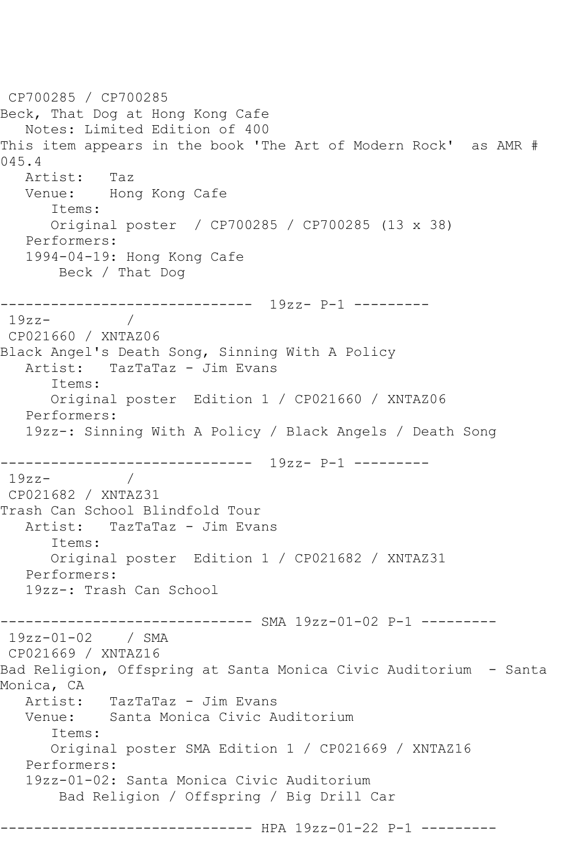```
CP700285 / CP700285
Beck, That Dog at Hong Kong Cafe
   Notes: Limited Edition of 400
This item appears in the book 'The Art of Modern Rock' as AMR # 
045.4
   Artist: Taz
   Venue: Hong Kong Cafe
       Items:
      Original poster / CP700285 / CP700285 (13 x 38)
   Performers:
   1994-04-19: Hong Kong Cafe
       Beck / That Dog
------------------------------ 19zz- P-1 ---------
19zz-CP021660 / XNTAZ06
Black Angel's Death Song, Sinning With A Policy
  Artist: TazTaTaz - Jim Evans
       Items:
      Original poster Edition 1 / CP021660 / XNTAZ06
   Performers:
   19zz-: Sinning With A Policy / Black Angels / Death Song
------------------------------ 19zz- P-1 ---------
19zz- / 
CP021682 / XNTAZ31
Trash Can School Blindfold Tour
   Artist: TazTaTaz - Jim Evans
       Items:
       Original poster Edition 1 / CP021682 / XNTAZ31
   Performers:
   19zz-: Trash Can School
------------------------------ SMA 19zz-01-02 P-1 ---------
19zz-01-02 / SMA 
CP021669 / XNTAZ16
Bad Religion, Offspring at Santa Monica Civic Auditorium - Santa 
Monica, CA
  Artist: TazTaTaz - Jim Evans<br>Venue: Santa Monica Civic A
           Santa Monica Civic Auditorium
       Items:
      Original poster SMA Edition 1 / CP021669 / XNTAZ16
   Performers:
   19zz-01-02: Santa Monica Civic Auditorium
       Bad Religion / Offspring / Big Drill Car
------------------------------ HPA 19zz-01-22 P-1 ---------
```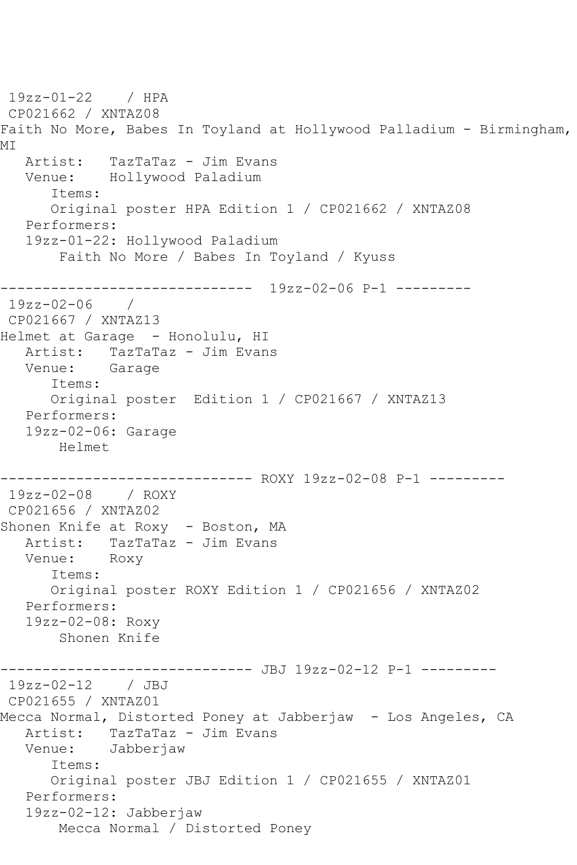19zz-01-22 / HPA CP021662 / XNTAZ08 Faith No More, Babes In Toyland at Hollywood Palladium - Birmingham, MI Artist: TazTaTaz - Jim Evans Venue: Hollywood Paladium Items: Original poster HPA Edition 1 / CP021662 / XNTAZ08 Performers: 19zz-01-22: Hollywood Paladium Faith No More / Babes In Toyland / Kyuss ------------------------------ 19zz-02-06 P-1 --------- 19zz-02-06 / CP021667 / XNTAZ13 Helmet at Garage - Honolulu, HI Artist: TazTaTaz - Jim Evans Venue: Garage Items: Original poster Edition 1 / CP021667 / XNTAZ13 Performers: 19zz-02-06: Garage Helmet ------------------------------ ROXY 19zz-02-08 P-1 --------- 19zz-02-08 / ROXY CP021656 / XNTAZ02 Shonen Knife at Roxy - Boston, MA Artist: TazTaTaz - Jim Evans Venue: Roxy Items: Original poster ROXY Edition 1 / CP021656 / XNTAZ02 Performers: 19zz-02-08: Roxy Shonen Knife ------------------------------ JBJ 19zz-02-12 P-1 --------- 19zz-02-12 / JBJ CP021655 / XNTAZ01 Mecca Normal, Distorted Poney at Jabberjaw - Los Angeles, CA Artist: TazTaTaz - Jim Evans<br>Venue: Jabberjaw Jabberjaw Items: Original poster JBJ Edition 1 / CP021655 / XNTAZ01 Performers: 19zz-02-12: Jabberjaw Mecca Normal / Distorted Poney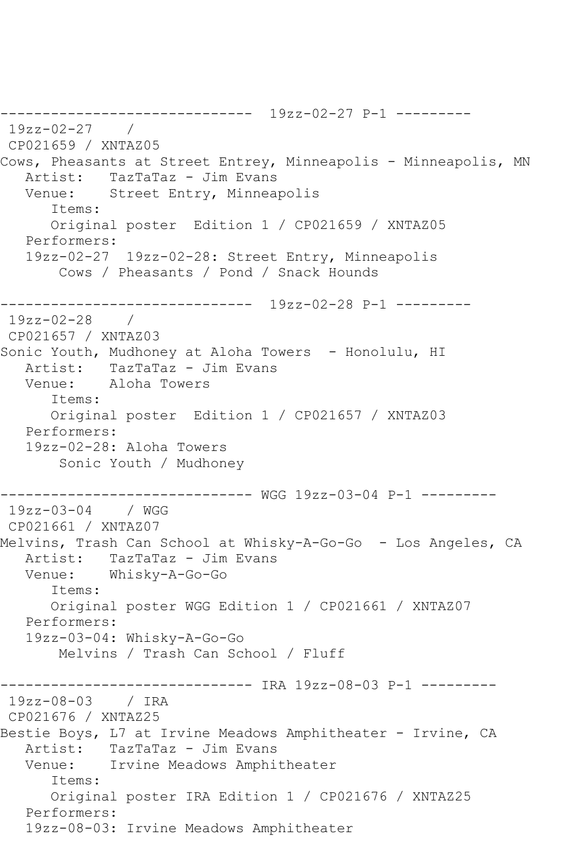------------------------------ 19zz-02-27 P-1 --------- 19zz-02-27 / CP021659 / XNTAZ05 Cows, Pheasants at Street Entrey, Minneapolis - Minneapolis, MN Artist: TazTaTaz - Jim Evans<br>Venue: Street Entry, Minnear Street Entry, Minneapolis Items: Original poster Edition 1 / CP021659 / XNTAZ05 Performers: 19zz-02-27 19zz-02-28: Street Entry, Minneapolis Cows / Pheasants / Pond / Snack Hounds ------------------------------ 19zz-02-28 P-1 --------- 19zz-02-28 / CP021657 / XNTAZ03 Sonic Youth, Mudhoney at Aloha Towers - Honolulu, HI Artist: TazTaTaz - Jim Evans Venue: Aloha Towers Items: Original poster Edition 1 / CP021657 / XNTAZ03 Performers: 19zz-02-28: Aloha Towers Sonic Youth / Mudhoney ------------------------------ WGG 19zz-03-04 P-1 --------- 19zz-03-04 / WGG CP021661 / XNTAZ07 Melvins, Trash Can School at Whisky-A-Go-Go - Los Angeles, CA Artist: TazTaTaz - Jim Evans<br>Venue: Whiskv-A-Go-Go Whisky-A-Go-Go Items: Original poster WGG Edition 1 / CP021661 / XNTAZ07 Performers: 19zz-03-04: Whisky-A-Go-Go Melvins / Trash Can School / Fluff ------------------------------ IRA 19zz-08-03 P-1 --------- 19zz-08-03 / IRA CP021676 / XNTAZ25 Bestie Boys, L7 at Irvine Meadows Amphitheater - Irvine, CA Artist: TazTaTaz - Jim Evans Venue: Irvine Meadows Amphitheater Items: Original poster IRA Edition 1 / CP021676 / XNTAZ25 Performers: 19zz-08-03: Irvine Meadows Amphitheater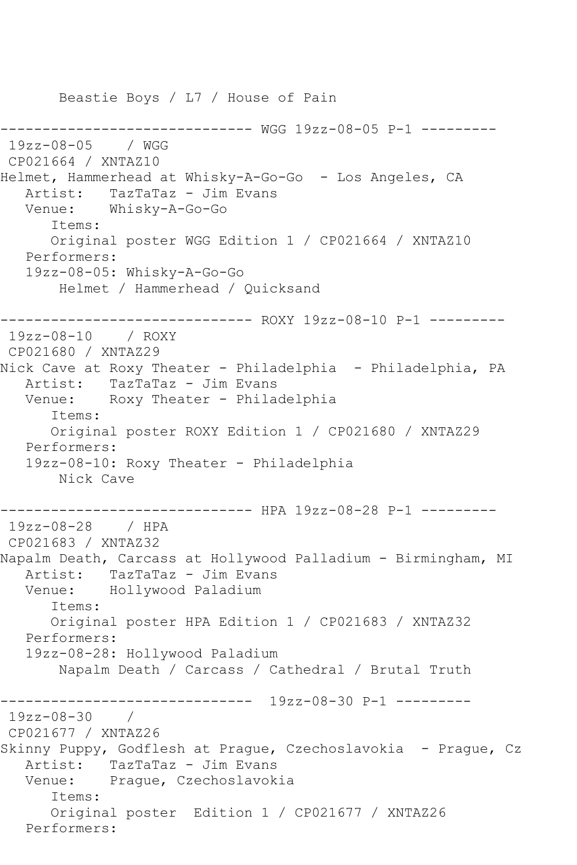Beastie Boys / L7 / House of Pain ------------------------------ WGG 19zz-08-05 P-1 --------- 19zz-08-05 / WGG CP021664 / XNTAZ10 Helmet, Hammerhead at Whisky-A-Go-Go - Los Angeles, CA Artist: TazTaTaz - Jim Evans Venue: Whisky-A-Go-Go Items: Original poster WGG Edition 1 / CP021664 / XNTAZ10 Performers: 19zz-08-05: Whisky-A-Go-Go Helmet / Hammerhead / Quicksand ------------------------------ ROXY 19zz-08-10 P-1 --------- 19zz-08-10 / ROXY CP021680 / XNTAZ29 Nick Cave at Roxy Theater - Philadelphia – Philadelphia, PA<br>Artist: TazTaTaz – Jim Evans TazTaTaz - Jim Evans Venue: Roxy Theater - Philadelphia Items: Original poster ROXY Edition 1 / CP021680 / XNTAZ29 Performers: 19zz-08-10: Roxy Theater - Philadelphia Nick Cave ------------------------------ HPA 19zz-08-28 P-1 --------- 19zz-08-28 / HPA CP021683 / XNTAZ32 Napalm Death, Carcass at Hollywood Palladium - Birmingham, MI Artist: TazTaTaz - Jim Evans Venue: Hollywood Paladium Items: Original poster HPA Edition 1 / CP021683 / XNTAZ32 Performers: 19zz-08-28: Hollywood Paladium Napalm Death / Carcass / Cathedral / Brutal Truth ------------------------------ 19zz-08-30 P-1 ---------  $19zz - 08 - 30$ CP021677 / XNTAZ26 Skinny Puppy, Godflesh at Prague, Czechoslavokia - Prague, Cz Artist: TazTaTaz - Jim Evans Venue: Prague, Czechoslavokia Items: Original poster Edition 1 / CP021677 / XNTAZ26 Performers: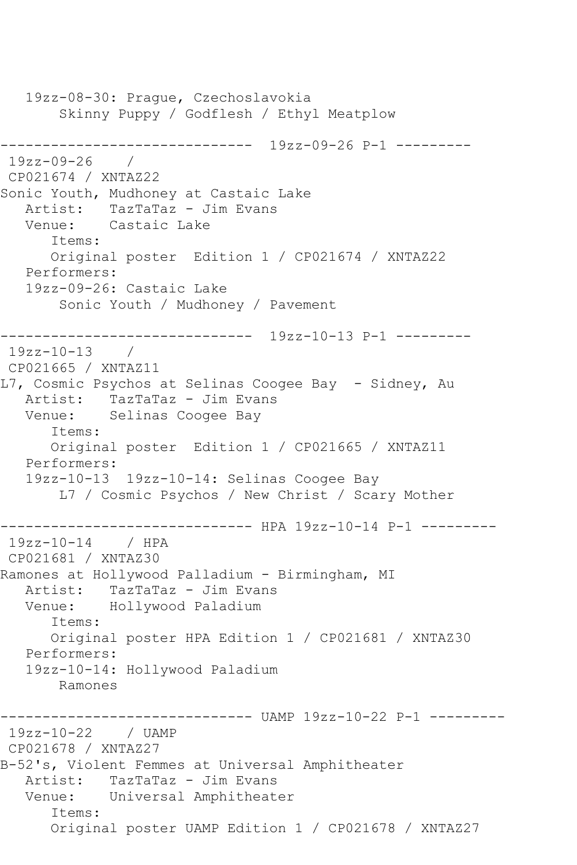19zz-08-30: Prague, Czechoslavokia Skinny Puppy / Godflesh / Ethyl Meatplow ------------------------------ 19zz-09-26 P-1 --------- 19zz-09-26 / CP021674 / XNTAZ22 Sonic Youth, Mudhoney at Castaic Lake Artist: TazTaTaz - Jim Evans Venue: Castaic Lake Items: Original poster Edition 1 / CP021674 / XNTAZ22 Performers: 19zz-09-26: Castaic Lake Sonic Youth / Mudhoney / Pavement ------------------------------ 19zz-10-13 P-1 --------- 19zz-10-13 / CP021665 / XNTAZ11 L7, Cosmic Psychos at Selinas Coogee Bay - Sidney, Au Artist: TazTaTaz - Jim Evans Venue: Selinas Coogee Bay Items: Original poster Edition 1 / CP021665 / XNTAZ11 Performers: 19zz-10-13 19zz-10-14: Selinas Coogee Bay L7 / Cosmic Psychos / New Christ / Scary Mother ------------------- HPA 19zz-10-14 P-1 ---------19zz-10-14 / HPA CP021681 / XNTAZ30 Ramones at Hollywood Palladium - Birmingham, MI Artist: TazTaTaz - Jim Evans Venue: Hollywood Paladium Items: Original poster HPA Edition 1 / CP021681 / XNTAZ30 Performers: 19zz-10-14: Hollywood Paladium Ramones ------------------------------ UAMP 19zz-10-22 P-1 --------- 19zz-10-22 / UAMP CP021678 / XNTAZ27 B-52's, Violent Femmes at Universal Amphitheater Artist: TazTaTaz - Jim Evans Venue: Universal Amphitheater Items: Original poster UAMP Edition 1 / CP021678 / XNTAZ27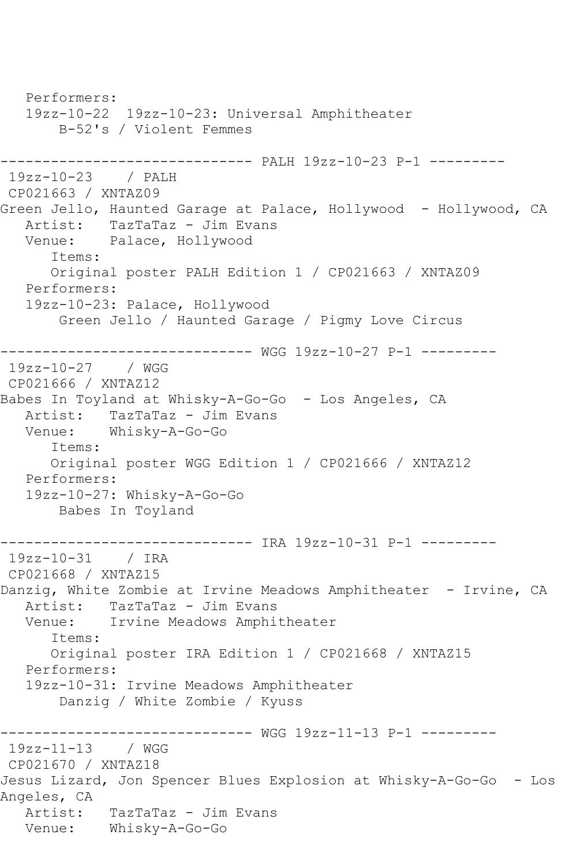Performers: 19zz-10-22 19zz-10-23: Universal Amphitheater B-52's / Violent Femmes ------------------------------ PALH 19zz-10-23 P-1 --------- 19zz-10-23 / PALH CP021663 / XNTAZ09 Green Jello, Haunted Garage at Palace, Hollywood - Hollywood, CA Artist: TazTaTaz - Jim Evans Venue: Palace, Hollywood Items: Original poster PALH Edition 1 / CP021663 / XNTAZ09 Performers: 19zz-10-23: Palace, Hollywood Green Jello / Haunted Garage / Pigmy Love Circus ------------------------------ WGG 19zz-10-27 P-1 --------- 19zz-10-27 / WGG CP021666 / XNTAZ12 Babes In Toyland at Whisky-A-Go-Go - Los Angeles, CA Artist: TazTaTaz - Jim Evans Venue: Whisky-A-Go-Go Items: Original poster WGG Edition 1 / CP021666 / XNTAZ12 Performers: 19zz-10-27: Whisky-A-Go-Go Babes In Toyland ------------------------------ IRA 19zz-10-31 P-1 --------- 19zz-10-31 / IRA CP021668 / XNTAZ15 Danzig, White Zombie at Irvine Meadows Amphitheater - Irvine, CA Artist: TazTaTaz - Jim Evans<br>Venue: Irvine Meadows Amphi Irvine Meadows Amphitheater Items: Original poster IRA Edition 1 / CP021668 / XNTAZ15 Performers: 19zz-10-31: Irvine Meadows Amphitheater Danzig / White Zombie / Kyuss ------------------------------ WGG 19zz-11-13 P-1 --------- 19zz-11-13 / WGG CP021670 / XNTAZ18 Jesus Lizard, Jon Spencer Blues Explosion at Whisky-A-Go-Go - Los Angeles, CA Artist: TazTaTaz - Jim Evans Venue: Whisky-A-Go-Go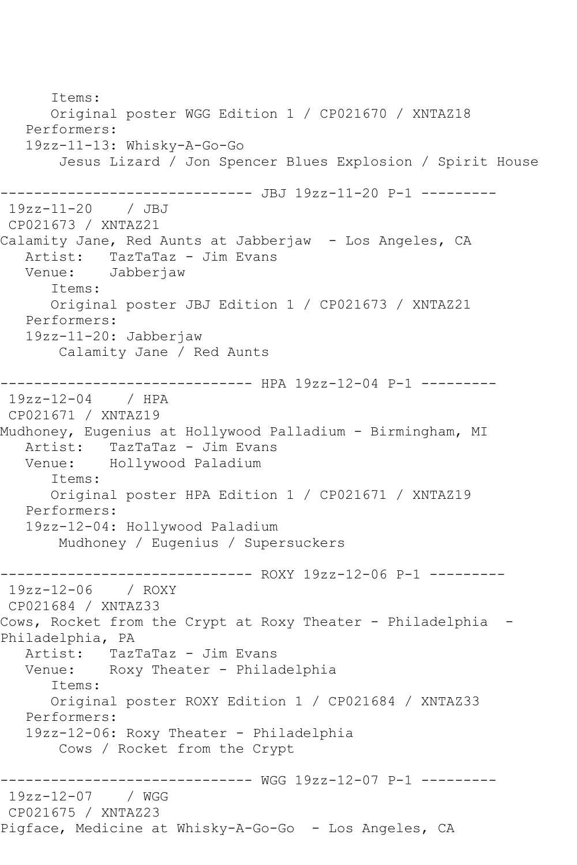Items: Original poster WGG Edition 1 / CP021670 / XNTAZ18 Performers: 19zz-11-13: Whisky-A-Go-Go Jesus Lizard / Jon Spencer Blues Explosion / Spirit House ------------------------------ JBJ 19zz-11-20 P-1 --------- 19zz-11-20 / JBJ CP021673 / XNTAZ21 Calamity Jane, Red Aunts at Jabberjaw - Los Angeles, CA Artist: TazTaTaz - Jim Evans<br>Venue: Jabberiaw Jabberjaw Items: Original poster JBJ Edition 1 / CP021673 / XNTAZ21 Performers: 19zz-11-20: Jabberjaw Calamity Jane / Red Aunts ----------- HPA 19zz-12-04 P-1 ---------19zz-12-04 / HPA CP021671 / XNTAZ19 Mudhoney, Eugenius at Hollywood Palladium - Birmingham, MI Artist: TazTaTaz - Jim Evans<br>Venue: Hollywood Paladium Hollywood Paladium Items: Original poster HPA Edition 1 / CP021671 / XNTAZ19 Performers: 19zz-12-04: Hollywood Paladium Mudhoney / Eugenius / Supersuckers ------------------------------ ROXY 19zz-12-06 P-1 --------- 19zz-12-06 / ROXY CP021684 / XNTAZ33 Cows, Rocket from the Crypt at Roxy Theater - Philadelphia - Philadelphia, PA Artist: TazTaTaz - Jim Evans Venue: Roxy Theater - Philadelphia Items: Original poster ROXY Edition 1 / CP021684 / XNTAZ33 Performers: 19zz-12-06: Roxy Theater - Philadelphia Cows / Rocket from the Crypt ------------------------------ WGG 19zz-12-07 P-1 --------- 19zz-12-07 / WGG CP021675 / XNTAZ23 Pigface, Medicine at Whisky-A-Go-Go - Los Angeles, CA